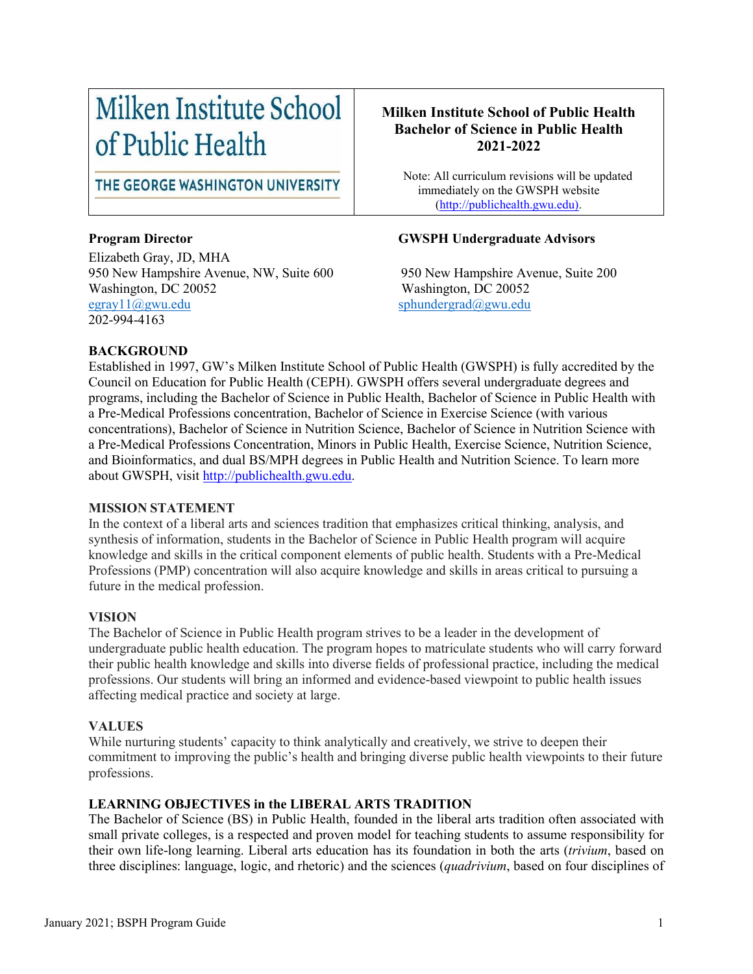# Milken Institute School of Public Health

THE GEORGE WASHINGTON UNIVERSITY

Elizabeth Gray, JD, MHA 950 New Hampshire Avenue, NW, Suite 600 950 New Hampshire Avenue, Suite 200 Washington, DC 20052<br>
egray11@gwu.edu <br>
Sphundergrad@gwu.edu <br>
Sphundergrad@gwu.edu 202-994-4163

# **Milken Institute School of Public Health Bachelor of Science in Public Health 2021-2022**

 Note: All curriculum revisions will be updated immediately on the GWSPH website [\(http://publichealth.gwu.edu\)](http://publichealth.gwu.edu/).

#### **Program Director GWSPH Undergraduate Advisors**

 $sphundergrad@gwu.edu$ 

#### **BACKGROUND**

Established in 1997, GW's Milken Institute School of Public Health (GWSPH) is fully accredited by the Council on Education for Public Health (CEPH). GWSPH offers several undergraduate degrees and programs, including the Bachelor of Science in Public Health, Bachelor of Science in Public Health with a Pre-Medical Professions concentration, Bachelor of Science in Exercise Science (with various concentrations), Bachelor of Science in Nutrition Science, Bachelor of Science in Nutrition Science with a Pre-Medical Professions Concentration, Minors in Public Health, Exercise Science, Nutrition Science, and Bioinformatics, and dual BS/MPH degrees in Public Health and Nutrition Science. To learn more about GWSPH, visit [http://publichealth.gwu.edu.](http://publichealth.gwu.edu/)

#### **MISSION STATEMENT**

In the context of a liberal arts and sciences tradition that emphasizes critical thinking, analysis, and synthesis of information, students in the Bachelor of Science in Public Health program will acquire knowledge and skills in the critical component elements of public health. Students with a Pre-Medical Professions (PMP) concentration will also acquire knowledge and skills in areas critical to pursuing a future in the medical profession.

#### **VISION**

The Bachelor of Science in Public Health program strives to be a leader in the development of undergraduate public health education. The program hopes to matriculate students who will carry forward their public health knowledge and skills into diverse fields of professional practice, including the medical professions. Our students will bring an informed and evidence-based viewpoint to public health issues affecting medical practice and society at large.

#### **VALUES**

While nurturing students' capacity to think analytically and creatively, we strive to deepen their commitment to improving the public's health and bringing diverse public health viewpoints to their future professions.

#### **LEARNING OBJECTIVES in the LIBERAL ARTS TRADITION**

The Bachelor of Science (BS) in Public Health, founded in the liberal arts tradition often associated with small private colleges, is a respected and proven model for teaching students to assume responsibility for their own life-long learning. Liberal arts education has its foundation in both the arts (*trivium*, based on three disciplines: language, logic, and rhetoric) and the sciences (*quadrivium*, based on four disciplines of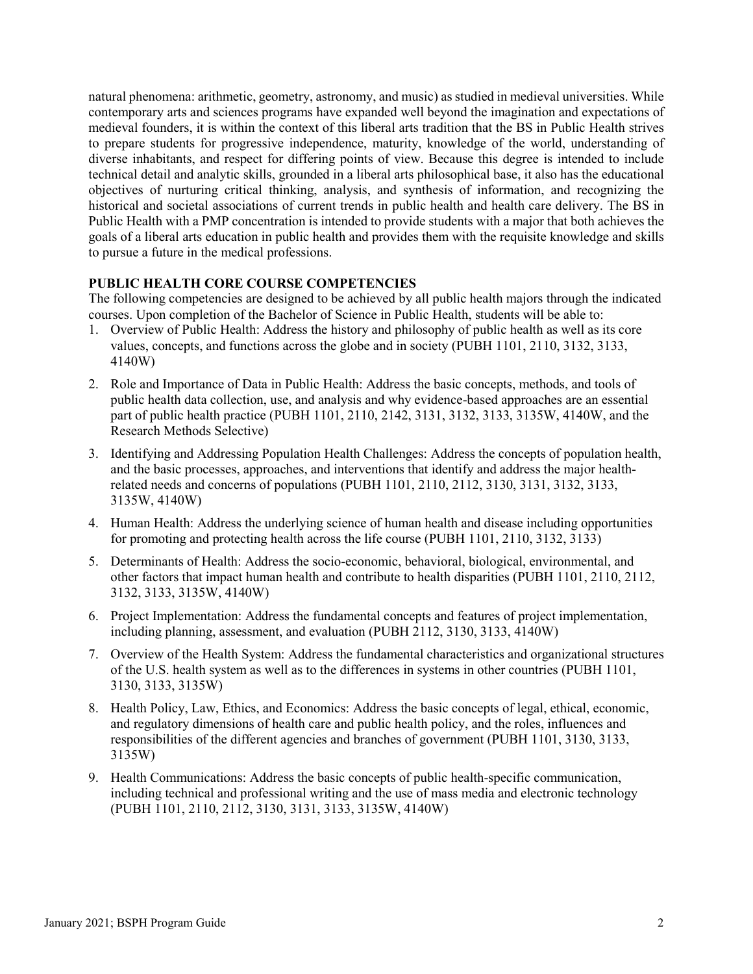natural phenomena: arithmetic, geometry, astronomy, and music) as studied in medieval universities. While contemporary arts and sciences programs have expanded well beyond the imagination and expectations of medieval founders, it is within the context of this liberal arts tradition that the BS in Public Health strives to prepare students for progressive independence, maturity, knowledge of the world, understanding of diverse inhabitants, and respect for differing points of view. Because this degree is intended to include technical detail and analytic skills, grounded in a liberal arts philosophical base, it also has the educational objectives of nurturing critical thinking, analysis, and synthesis of information, and recognizing the historical and societal associations of current trends in public health and health care delivery. The BS in Public Health with a PMP concentration is intended to provide students with a major that both achieves the goals of a liberal arts education in public health and provides them with the requisite knowledge and skills to pursue a future in the medical professions.

#### **PUBLIC HEALTH CORE COURSE COMPETENCIES**

The following competencies are designed to be achieved by all public health majors through the indicated courses. Upon completion of the Bachelor of Science in Public Health, students will be able to:

- 1. Overview of Public Health: Address the history and philosophy of public health as well as its core values, concepts, and functions across the globe and in society (PUBH 1101, 2110, 3132, 3133, 4140W)
- 2. Role and Importance of Data in Public Health: Address the basic concepts, methods, and tools of public health data collection, use, and analysis and why evidence-based approaches are an essential part of public health practice (PUBH 1101, 2110, 2142, 3131, 3132, 3133, 3135W, 4140W, and the Research Methods Selective)
- 3. Identifying and Addressing Population Health Challenges: Address the concepts of population health, and the basic processes, approaches, and interventions that identify and address the major healthrelated needs and concerns of populations (PUBH 1101, 2110, 2112, 3130, 3131, 3132, 3133, 3135W, 4140W)
- 4. Human Health: Address the underlying science of human health and disease including opportunities for promoting and protecting health across the life course (PUBH 1101, 2110, 3132, 3133)
- 5. Determinants of Health: Address the socio-economic, behavioral, biological, environmental, and other factors that impact human health and contribute to health disparities (PUBH 1101, 2110, 2112, 3132, 3133, 3135W, 4140W)
- 6. Project Implementation: Address the fundamental concepts and features of project implementation, including planning, assessment, and evaluation (PUBH 2112, 3130, 3133, 4140W)
- 7. Overview of the Health System: Address the fundamental characteristics and organizational structures of the U.S. health system as well as to the differences in systems in other countries (PUBH 1101, 3130, 3133, 3135W)
- 8. Health Policy, Law, Ethics, and Economics: Address the basic concepts of legal, ethical, economic, and regulatory dimensions of health care and public health policy, and the roles, influences and responsibilities of the different agencies and branches of government (PUBH 1101, 3130, 3133, 3135W)
- 9. Health Communications: Address the basic concepts of public health-specific communication, including technical and professional writing and the use of mass media and electronic technology (PUBH 1101, 2110, 2112, 3130, 3131, 3133, 3135W, 4140W)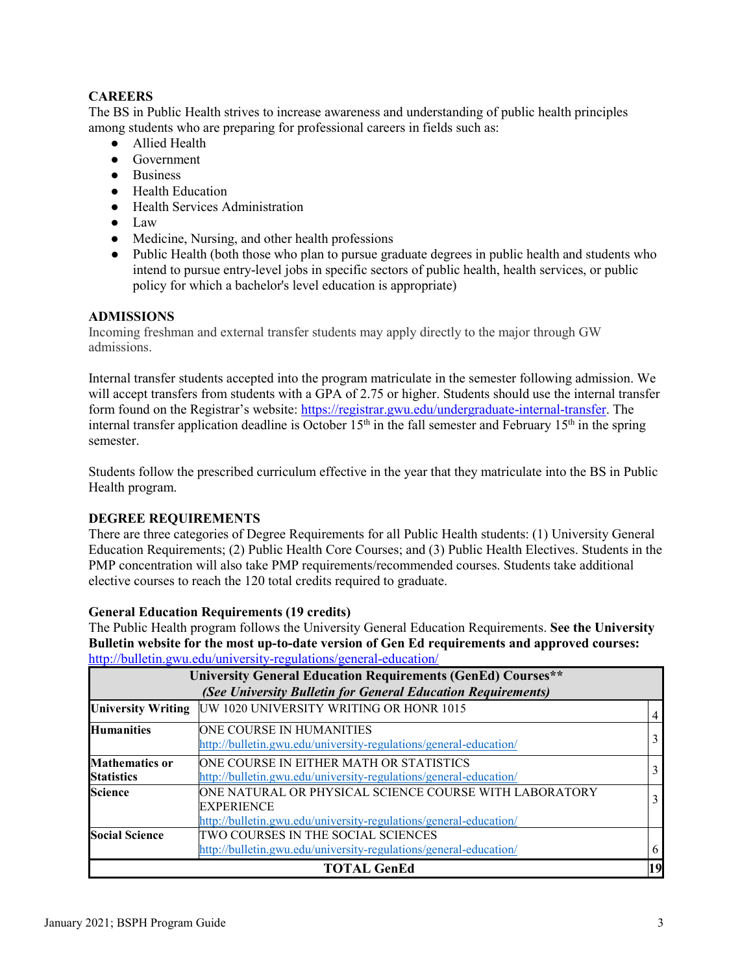# **CAREERS**

The BS in Public Health strives to increase awareness and understanding of public health principles among students who are preparing for professional careers in fields such as:

- Allied Health
- Government
- Business
- Health Education
- Health Services Administration
- Law
- Medicine, Nursing, and other health professions
- Public Health (both those who plan to pursue graduate degrees in public health and students who intend to pursue entry-level jobs in specific sectors of public health, health services, or public policy for which a bachelor's level education is appropriate)

#### **ADMISSIONS**

Incoming freshman and external transfer students may apply directly to the major through GW admissions.

Internal transfer students accepted into the program matriculate in the semester following admission. We will accept transfers from students with a GPA of 2.75 or higher. Students should use the internal transfer form found on the Registrar's website: [https://registrar.gwu.edu/undergraduate-internal-transfer.](https://registrar.gwu.edu/undergraduate-internal-transfer) The internal transfer application deadline is October  $15<sup>th</sup>$  in the fall semester and February  $15<sup>th</sup>$  in the spring semester.

Students follow the prescribed curriculum effective in the year that they matriculate into the BS in Public Health program.

#### **DEGREE REQUIREMENTS**

There are three categories of Degree Requirements for all Public Health students: (1) University General Education Requirements; (2) Public Health Core Courses; and (3) Public Health Electives. Students in the PMP concentration will also take PMP requirements/recommended courses. Students take additional elective courses to reach the 120 total credits required to graduate.

#### **General Education Requirements (19 credits)**

The Public Health program follows the University General Education Requirements. **See the University Bulletin website for the most up-to-date version of Gen Ed requirements and approved courses:**  <http://bulletin.gwu.edu/university-regulations/general-education/>

|                                            | <b>University General Education Requirements (GenEd) Courses**</b><br>(See University Bulletin for General Education Requirements)               |                |
|--------------------------------------------|--------------------------------------------------------------------------------------------------------------------------------------------------|----------------|
| <b>University Writing</b>                  | UW 1020 UNIVERSITY WRITING OR HONR 1015                                                                                                          | $\overline{4}$ |
| <b>Humanities</b>                          | ONE COURSE IN HUMANITIES<br>http://bulletin.gwu.edu/university-regulations/general-education/                                                    | 3              |
| <b>Mathematics or</b><br><b>Statistics</b> | ONE COURSE IN EITHER MATH OR STATISTICS<br>http://bulletin.gwu.edu/university-regulations/general-education/                                     | 3              |
| <b>Science</b>                             | ONE NATURAL OR PHYSICAL SCIENCE COURSE WITH LABORATORY<br><b>EXPERIENCE</b><br>http://bulletin.gwu.edu/university-regulations/general-education/ | 3              |
| <b>Social Science</b>                      | TWO COURSES IN THE SOCIAL SCIENCES<br>http://bulletin.gwu.edu/university-regulations/general-education/                                          | 6              |
|                                            | <b>TOTAL GenEd</b>                                                                                                                               | 19             |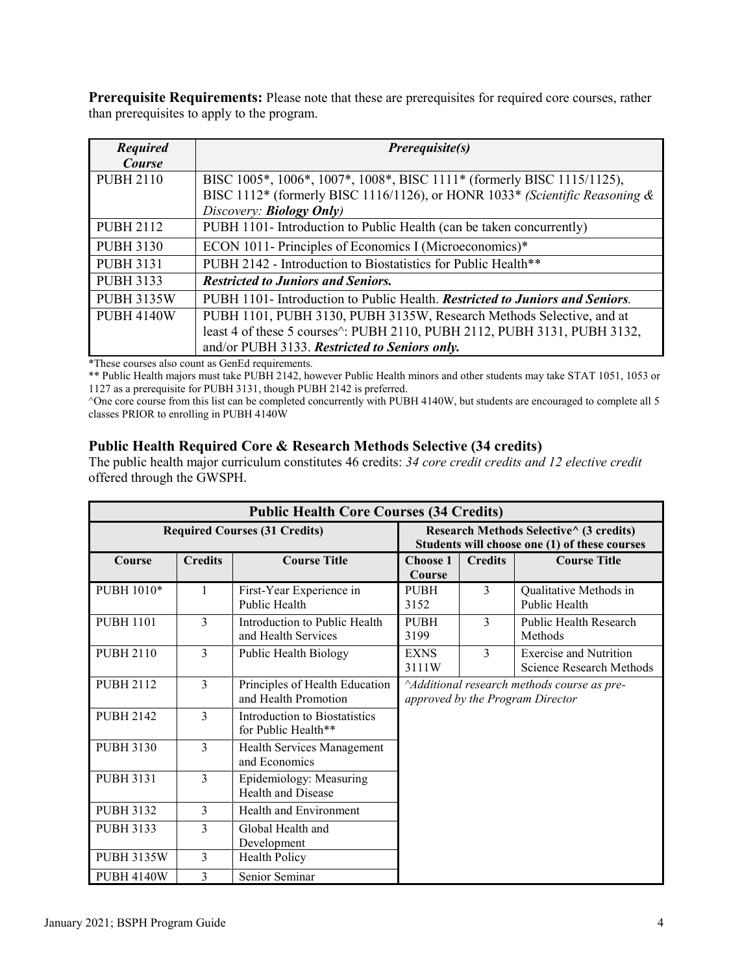**Prerequisite Requirements:** Please note that these are prerequisites for required core courses, rather than prerequisites to apply to the program.

| <b>Required</b><br><b>Course</b> | <i>Prerequisite(s)</i>                                                                                                                                                                                                          |  |  |  |
|----------------------------------|---------------------------------------------------------------------------------------------------------------------------------------------------------------------------------------------------------------------------------|--|--|--|
| <b>PUBH 2110</b>                 | BISC 1005*, 1006*, 1007*, 1008*, BISC 1111* (formerly BISC 1115/1125),<br>BISC 1112* (formerly BISC 1116/1126), or HONR 1033* (Scientific Reasoning &<br>Discovery: <b>Biology Only</b> )                                       |  |  |  |
| <b>PUBH 2112</b>                 | PUBH 1101- Introduction to Public Health (can be taken concurrently)                                                                                                                                                            |  |  |  |
| <b>PUBH 3130</b>                 | ECON 1011- Principles of Economics I (Microeconomics)*                                                                                                                                                                          |  |  |  |
| <b>PUBH 3131</b>                 | PUBH 2142 - Introduction to Biostatistics for Public Health**                                                                                                                                                                   |  |  |  |
| <b>PUBH 3133</b>                 | <b>Restricted to Juniors and Seniors.</b>                                                                                                                                                                                       |  |  |  |
| <b>PUBH 3135W</b>                | PUBH 1101- Introduction to Public Health. Restricted to Juniors and Seniors.                                                                                                                                                    |  |  |  |
| <b>PUBH 4140W</b>                | PUBH 1101, PUBH 3130, PUBH 3135W, Research Methods Selective, and at<br>least 4 of these 5 courses <sup><math>\land</math></sup> : PUBH 2110, PUBH 2112, PUBH 3131, PUBH 3132,<br>and/or PUBH 3133. Restricted to Seniors only. |  |  |  |

\*These courses also count as GenEd requirements.

\*\* Public Health majors must take PUBH 2142, however Public Health minors and other students may take STAT 1051, 1053 or 1127 as a prerequisite for PUBH 3131, though PUBH 2142 is preferred.

<sup>^</sup>One core course from this list can be completed concurrently with PUBH 4140W, but students are encouraged to complete all 5 classes PRIOR to enrolling in PUBH 4140W

#### **Public Health Required Core & Research Methods Selective (34 credits)**

The public health major curriculum constitutes 46 credits: *34 core credit credits and 12 elective credit* offered through the GWSPH.

| <b>Public Health Core Courses (34 Credits)</b> |                |                                                        |                                                                                          |                |                                                           |  |
|------------------------------------------------|----------------|--------------------------------------------------------|------------------------------------------------------------------------------------------|----------------|-----------------------------------------------------------|--|
|                                                |                | <b>Required Courses (31 Credits)</b>                   | Research Methods Selective^ (3 credits)<br>Students will choose one (1) of these courses |                |                                                           |  |
| Course                                         | <b>Credits</b> | <b>Course Title</b>                                    | <b>Choose 1</b><br><b>Course</b>                                                         | <b>Credits</b> | <b>Course Title</b>                                       |  |
| PUBH 1010*                                     | 1              | First-Year Experience in<br>Public Health              | <b>PUBH</b><br>3152                                                                      | 3              | Qualitative Methods in<br>Public Health                   |  |
| <b>PUBH 1101</b>                               | 3              | Introduction to Public Health<br>and Health Services   | <b>PUBH</b><br>3199                                                                      | 3              | Public Health Research<br>Methods                         |  |
| <b>PUBH 2110</b>                               | 3              | <b>EXNS</b><br>Public Health Biology<br>3111W          |                                                                                          | $\mathcal{E}$  | <b>Exercise and Nutrition</b><br>Science Research Methods |  |
| <b>PUBH 2112</b>                               | 3              | Principles of Health Education<br>and Health Promotion | Additional research methods course as pre-<br>approved by the Program Director           |                |                                                           |  |
| <b>PUBH 2142</b>                               | 3              | Introduction to Biostatistics<br>for Public Health**   |                                                                                          |                |                                                           |  |
| <b>PUBH 3130</b>                               | 3              | Health Services Management<br>and Economics            |                                                                                          |                |                                                           |  |
| <b>PUBH 3131</b>                               | 3              | Epidemiology: Measuring<br>Health and Disease          |                                                                                          |                |                                                           |  |
| <b>PUBH 3132</b>                               | 3              | Health and Environment                                 |                                                                                          |                |                                                           |  |
| <b>PUBH 3133</b>                               | 3              | Global Health and<br>Development                       |                                                                                          |                |                                                           |  |
| <b>PUBH 3135W</b>                              | 3              | Health Policy                                          |                                                                                          |                |                                                           |  |
| <b>PUBH 4140W</b>                              | 3              | Senior Seminar                                         |                                                                                          |                |                                                           |  |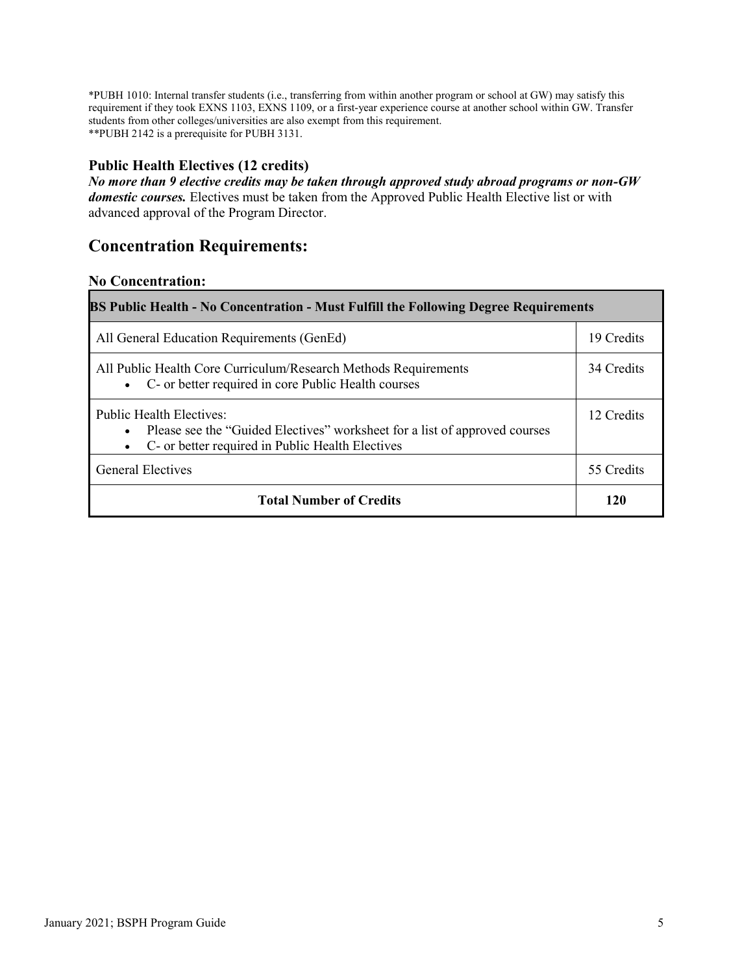\*PUBH 1010: Internal transfer students (i.e., transferring from within another program or school at GW) may satisfy this requirement if they took EXNS 1103, EXNS 1109, or a first-year experience course at another school within GW. Transfer students from other colleges/universities are also exempt from this requirement. \*\*PUBH 2142 is a prerequisite for PUBH 3131.

# **Public Health Electives (12 credits)**

*No more than 9 elective credits may be taken through approved study abroad programs or non-GW domestic courses.* Electives must be taken from the Approved Public Health Elective list or with advanced approval of the Program Director.

# **Concentration Requirements:**

# **No Concentration:**

| <b>BS Public Health - No Concentration - Must Fulfill the Following Degree Requirements</b>                                                                       |            |  |  |  |
|-------------------------------------------------------------------------------------------------------------------------------------------------------------------|------------|--|--|--|
| All General Education Requirements (GenEd)                                                                                                                        | 19 Credits |  |  |  |
| All Public Health Core Curriculum/Research Methods Requirements<br>• C- or better required in core Public Health courses                                          | 34 Credits |  |  |  |
| <b>Public Health Electives:</b><br>Please see the "Guided Electives" worksheet for a list of approved courses<br>C- or better required in Public Health Electives |            |  |  |  |
| <b>General Electives</b>                                                                                                                                          | 55 Credits |  |  |  |
| <b>Total Number of Credits</b>                                                                                                                                    | 120        |  |  |  |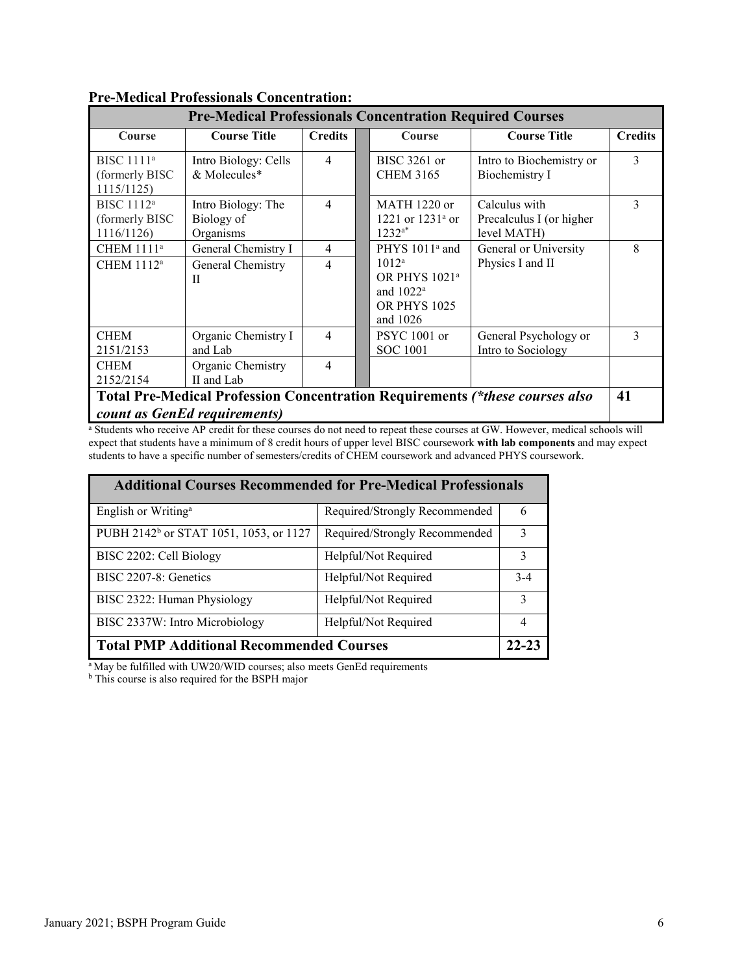| <b>Pre-Medical Professionals Concentration Required Courses</b> |                                                         |                                  |  |                                                                                                                        |                                                                              |                |
|-----------------------------------------------------------------|---------------------------------------------------------|----------------------------------|--|------------------------------------------------------------------------------------------------------------------------|------------------------------------------------------------------------------|----------------|
| Course                                                          | <b>Course Title</b>                                     | <b>Credits</b>                   |  | <b>Course</b>                                                                                                          | <b>Course Title</b>                                                          | <b>Credits</b> |
| BISC $1111a$<br>(formerly BISC)<br>1115/1125)                   | Intro Biology: Cells<br>& Molecules*                    | $\overline{4}$                   |  | $BISC 3261$ or<br><b>CHEM 3165</b>                                                                                     | Intro to Biochemistry or<br><b>Biochemistry I</b>                            | 3              |
| BISC $1112^a$<br>(formerly BISC)<br>1116/1126)                  | Intro Biology: The<br>Biology of<br>Organisms           | 4                                |  | $MATH$ 1220 or<br>1221 or $1231^{\circ}$ or<br>$1232^{a*}$                                                             | Calculus with<br>Precalculus I (or higher<br>level MATH)                     | 3              |
| CHEM 1111 <sup>a</sup><br>CHEM 1112 <sup>a</sup>                | General Chemistry I<br>General Chemistry<br>$_{\rm II}$ | $\overline{4}$<br>$\overline{4}$ |  | PHYS 1011 <sup>ª</sup> and<br>$1012^a$<br>OR PHYS 1021 <sup>a</sup><br>and $1022^a$<br><b>OR PHYS 1025</b><br>and 1026 | General or University<br>Physics I and II                                    | 8              |
| <b>CHEM</b><br>2151/2153                                        | Organic Chemistry I<br>and Lab                          | $\overline{4}$                   |  | PSYC 1001 or<br><b>SOC</b> 1001                                                                                        | General Psychology or<br>Intro to Sociology                                  | 3              |
| <b>CHEM</b><br>2152/2154                                        | Organic Chemistry<br>II and Lab                         | $\overline{4}$                   |  |                                                                                                                        |                                                                              |                |
|                                                                 | <i>count as GenEd requirements)</i>                     |                                  |  |                                                                                                                        | Total Pre-Medical Profession Concentration Requirements (*these courses also | 41             |

# **Pre-Medical Professionals Concentration:**

<sup>a</sup> Students who receive AP credit for these courses do not need to repeat these courses at GW. However, medical schools will expect that students have a minimum of 8 credit hours of upper level BISC coursework **with lab components** and may expect students to have a specific number of semesters/credits of CHEM coursework and advanced PHYS coursework.

| <b>Additional Courses Recommended for Pre-Medical Professionals</b> |                               |       |  |  |
|---------------------------------------------------------------------|-------------------------------|-------|--|--|
| English or Writing <sup>a</sup>                                     | Required/Strongly Recommended | 6     |  |  |
| PUBH 2142 <sup>b</sup> or STAT 1051, 1053, or 1127                  | Required/Strongly Recommended | 3     |  |  |
| BISC 2202: Cell Biology                                             | Helpful/Not Required          | 3     |  |  |
| BISC 2207-8: Genetics                                               | Helpful/Not Required          | $3-4$ |  |  |
| BISC 2322: Human Physiology                                         | Helpful/Not Required          | 3     |  |  |
| BISC 2337W: Intro Microbiology                                      | Helpful/Not Required          |       |  |  |
| <b>Total PMP Additional Recommended Courses</b>                     |                               |       |  |  |

<sup>a</sup> May be fulfilled with UW20/WID courses; also meets GenEd requirements

<sup>b</sup> This course is also required for the BSPH major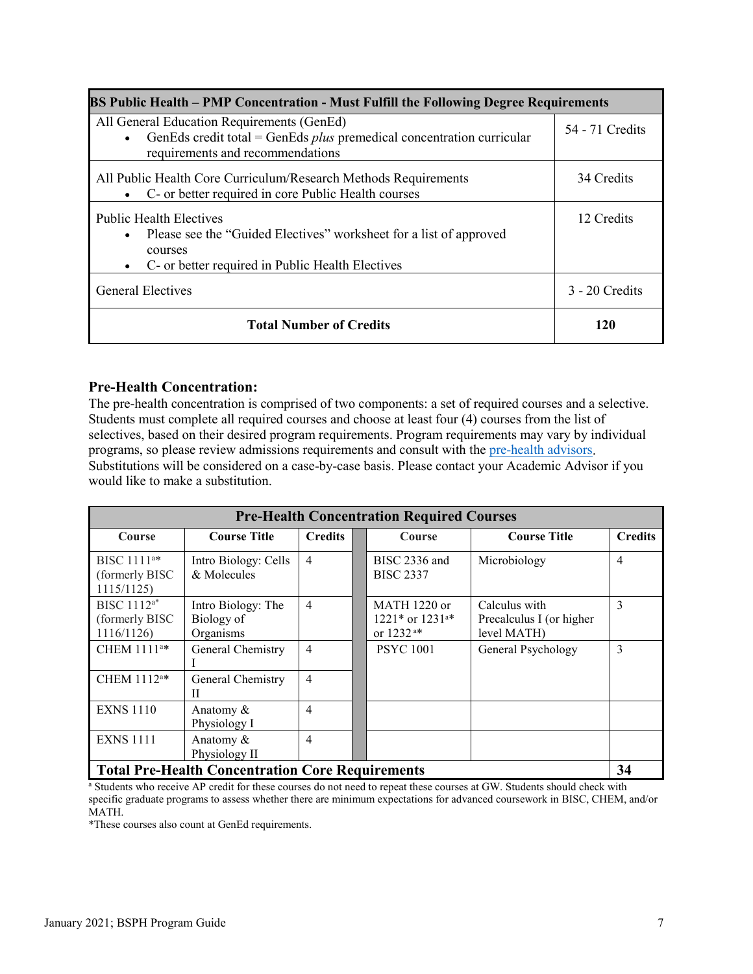| <b>BS Public Health – PMP Concentration - Must Fulfill the Following Degree Requirements</b>                                                                                       |                  |  |  |  |
|------------------------------------------------------------------------------------------------------------------------------------------------------------------------------------|------------------|--|--|--|
| All General Education Requirements (GenEd)<br>GenEds credit total = GenEds $plus$ premedical concentration curricular<br>requirements and recommendations                          | 54 - 71 Credits  |  |  |  |
| All Public Health Core Curriculum/Research Methods Requirements<br>C- or better required in core Public Health courses                                                             | 34 Credits       |  |  |  |
| <b>Public Health Electives</b><br>• Please see the "Guided Electives" worksheet for a list of approved<br>courses<br>C- or better required in Public Health Electives<br>$\bullet$ | 12 Credits       |  |  |  |
| <b>General Electives</b>                                                                                                                                                           | $3 - 20$ Credits |  |  |  |
| <b>Total Number of Credits</b>                                                                                                                                                     | 120              |  |  |  |

#### **Pre-Health Concentration:**

The pre-health concentration is comprised of two components: a set of required courses and a selective. Students must complete all required courses and choose at least four (4) courses from the list of selectives, based on their desired program requirements. Program requirements may vary by individual programs, so please review admissions requirements and consult with the [pre-health advisors.](https://prehealth.gwu.edu/) Substitutions will be considered on a case-by-case basis. Please contact your Academic Advisor if you would like to make a substitution.

| <b>Pre-Health Concentration Required Courses</b>         |                                               |                |  |                                                                 |                                                          |                |
|----------------------------------------------------------|-----------------------------------------------|----------------|--|-----------------------------------------------------------------|----------------------------------------------------------|----------------|
| Course                                                   | <b>Course Title</b>                           | <b>Credits</b> |  | Course                                                          | <b>Course Title</b>                                      | <b>Credits</b> |
| BISC $1111^{a*}$<br>(formerly BISC)<br>1115/1125)        | Intro Biology: Cells<br>& Molecules           | $\overline{4}$ |  | BISC 2336 and<br><b>BISC 2337</b>                               | Microbiology                                             | 4              |
| BISC 1112 <sup>a*</sup><br>(formerly BISC)<br>1116/1126) | Intro Biology: The<br>Biology of<br>Organisms | $\overline{4}$ |  | $MATH$ 1220 or<br>1221* or 1231 <sup>a*</sup><br>or $1232^{a*}$ | Calculus with<br>Precalculus I (or higher<br>level MATH) | 3              |
| CHEM 1111 <sup>a*</sup>                                  | General Chemistry                             | $\overline{4}$ |  | <b>PSYC</b> 1001                                                | General Psychology                                       | 3              |
| CHEM $1112^{a*}$                                         | General Chemistry<br>П                        | $\overline{4}$ |  |                                                                 |                                                          |                |
| <b>EXNS 1110</b>                                         | Anatomy $\&$<br>Physiology I                  | $\overline{4}$ |  |                                                                 |                                                          |                |
| <b>EXNS 1111</b>                                         | Anatomy &<br>Physiology II                    | $\overline{4}$ |  |                                                                 |                                                          |                |
| <b>Total Pre-Health Concentration Core Requirements</b>  |                                               |                |  |                                                                 |                                                          | 34             |

<sup>a</sup> Students who receive AP credit for these courses do not need to repeat these courses at GW. Students should check with specific graduate programs to assess whether there are minimum expectations for advanced coursework in BISC, CHEM, and/or MATH.

\*These courses also count at GenEd requirements.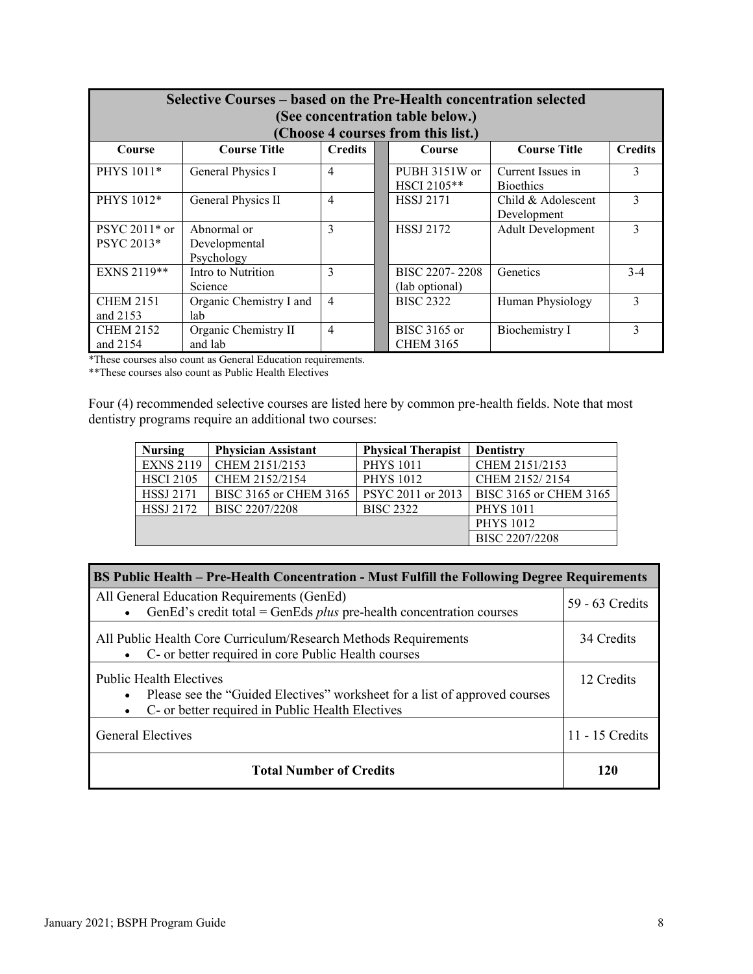| Selective Courses – based on the Pre-Health concentration selected<br>(See concentration table below.)<br>(Choose 4 courses from this list.) |                                            |                |  |                                  |                                       |                |
|----------------------------------------------------------------------------------------------------------------------------------------------|--------------------------------------------|----------------|--|----------------------------------|---------------------------------------|----------------|
| Course                                                                                                                                       | <b>Course Title</b>                        | <b>Credits</b> |  | Course                           | <b>Course Title</b>                   | <b>Credits</b> |
| PHYS 1011*                                                                                                                                   | General Physics I                          | $\overline{4}$ |  | PUBH 3151W or<br>HSCI 2105**     | Current Issues in<br><b>Bioethics</b> | 3              |
| PHYS 1012*                                                                                                                                   | General Physics II                         | $\overline{4}$ |  | <b>HSSJ 2171</b>                 | Child & Adolescent<br>Development     | 3              |
| $PSYC 2011*$ or<br>PSYC 2013*                                                                                                                | Abnormal or<br>Developmental<br>Psychology | 3              |  | <b>HSSJ 2172</b>                 | <b>Adult Development</b>              | 3              |
| EXNS 2119**                                                                                                                                  | Intro to Nutrition<br>Science              | 3              |  | BISC 2207-2208<br>(lab optional) | Genetics                              | $3-4$          |
| <b>CHEM 2151</b><br>and 2153                                                                                                                 | Organic Chemistry I and<br>lab             | $\overline{4}$ |  | <b>BISC 2322</b>                 | Human Physiology                      | 3              |
| <b>CHEM 2152</b><br>and 2154                                                                                                                 | Organic Chemistry II<br>and lab            | $\overline{4}$ |  | BISC 3165 or<br><b>CHEM 3165</b> | Biochemistry I                        | 3              |

\*These courses also count as General Education requirements.

\*\*These courses also count as Public Health Electives

Four (4) recommended selective courses are listed here by common pre-health fields. Note that most dentistry programs require an additional two courses:

| <b>Nursing</b>   | <b>Physician Assistant</b> | <b>Physical Therapist</b> | <b>Dentistry</b>       |
|------------------|----------------------------|---------------------------|------------------------|
| <b>EXNS 2119</b> | CHEM 2151/2153             | <b>PHYS 1011</b>          | CHEM 2151/2153         |
| <b>HSCI 2105</b> | CHEM 2152/2154             | <b>PHYS 1012</b>          | CHEM 2152/2154         |
| <b>HSSJ 2171</b> | BISC 3165 or CHEM 3165     | PSYC 2011 or 2013         | BISC 3165 or CHEM 3165 |
| <b>HSSJ 2172</b> | BISC 2207/2208             | <b>BISC 2322</b>          | <b>PHYS 1011</b>       |
|                  |                            |                           | <b>PHYS 1012</b>       |
|                  |                            |                           | BISC 2207/2208         |

| BS Public Health - Pre-Health Concentration - Must Fulfill the Following Degree Requirements                                                                                    |                 |  |  |  |  |
|---------------------------------------------------------------------------------------------------------------------------------------------------------------------------------|-----------------|--|--|--|--|
| All General Education Requirements (GenEd)<br>GenEd's credit total = GenEds $plus$ pre-health concentration courses                                                             | 59 - 63 Credits |  |  |  |  |
| All Public Health Core Curriculum/Research Methods Requirements<br>• C- or better required in core Public Health courses                                                        | 34 Credits      |  |  |  |  |
| <b>Public Health Electives</b><br>• Please see the "Guided Electives" worksheet for a list of approved courses<br>C- or better required in Public Health Electives<br>$\bullet$ | 12 Credits      |  |  |  |  |
| <b>General Electives</b>                                                                                                                                                        | 11 - 15 Credits |  |  |  |  |
| <b>Total Number of Credits</b>                                                                                                                                                  | 120             |  |  |  |  |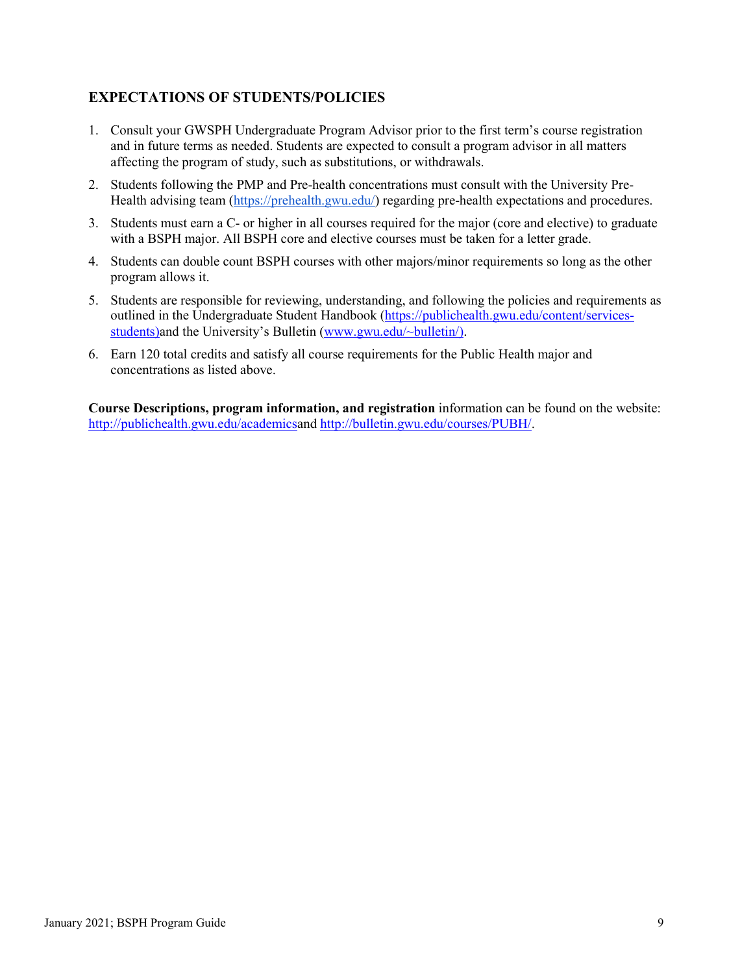# **EXPECTATIONS OF STUDENTS/POLICIES**

- 1. Consult your GWSPH Undergraduate Program Advisor prior to the first term's course registration and in future terms as needed. Students are expected to consult a program advisor in all matters affecting the program of study, such as substitutions, or withdrawals.
- 2. Students following the PMP and Pre-health concentrations must consult with the University Pre-Health advising team [\(https://prehealth.gwu.edu/\)](https://prehealth.gwu.edu/) regarding pre-health expectations and procedures.
- 3. Students must earn a C- or higher in all courses required for the major (core and elective) to graduate with a BSPH major. All BSPH core and elective courses must be taken for a letter grade.
- 4. Students can double count BSPH courses with other majors/minor requirements so long as the other program allows it.
- 5. Students are responsible for reviewing, understanding, and following the policies and requirements as outlined in the Undergraduate Student Handbook [\(https://publichealth.gwu.edu/content/services](https://publichealth.gwu.edu/content/services-students)[students\)](https://publichealth.gwu.edu/content/services-students)and the University's Bulletin [\(www.gwu.edu/~bulletin/\)](http://www.gwu.edu/%7Ebulletin/).
- 6. Earn 120 total credits and satisfy all course requirements for the Public Health major and concentrations as listed above.

**Course Descriptions, program information, and registration** information can be found on the website: [http://publichealth.gwu.edu/academicsa](http://publichealth.gwu.edu/academics)nd [http://bulletin.gwu.edu/courses/PUBH/.](http://bulletin.gwu.edu/courses/pubh/)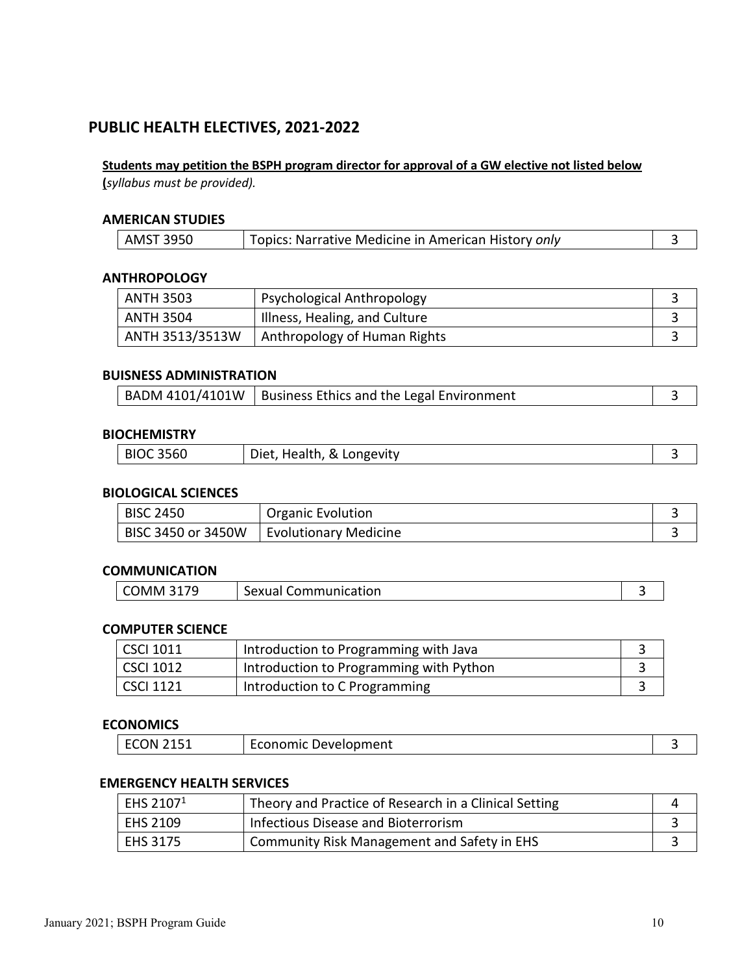# **PUBLIC HEALTH ELECTIVES, 2021-2022**

# **Students may petition the BSPH program director for approval of a GW elective not listed below**

**(***syllabus must be provided).*

#### **AMERICAN STUDIES**

| Topics: Narrative Medicine in American History only<br><b>AMST 3950</b> |  |
|-------------------------------------------------------------------------|--|
|-------------------------------------------------------------------------|--|

#### **ANTHROPOLOGY**

| <b>ANTH 3503</b> | Psychological Anthropology    |  |
|------------------|-------------------------------|--|
| <b>ANTH 3504</b> | Illness, Healing, and Culture |  |
| ANTH 3513/3513W  | Anthropology of Human Rights  |  |

### **BUISNESS ADMINISTRATION**

|  | BADM 4101/4101W   Business Ethics and the Legal Environment |  |
|--|-------------------------------------------------------------|--|
|--|-------------------------------------------------------------|--|

### **BIOCHEMISTRY**

| <b>BIOC 3560</b><br>Health, & Longevity<br>Diet.<br>$\alpha$ correct |
|----------------------------------------------------------------------|
|----------------------------------------------------------------------|

#### **BIOLOGICAL SCIENCES**

| <b>BISC 2450</b>   | <b>Organic Evolution</b> |  |
|--------------------|--------------------------|--|
| BISC 3450 or 3450W | Evolutionary Medicine    |  |

#### **COMMUNICATION**

| 17Q<br>- הר<br>MM0.<br>5 I | Communication<br>sexual 1 |  |
|----------------------------|---------------------------|--|
|----------------------------|---------------------------|--|

#### **COMPUTER SCIENCE**

| <b>CSCI 1011</b> | Introduction to Programming with Java   |  |
|------------------|-----------------------------------------|--|
| <b>CSCI 1012</b> | Introduction to Programming with Python |  |
| <b>CSCI 1121</b> | Introduction to C Programming           |  |

### **ECONOMICS**

| ЛU<br>LSI<br>______ | $\sim$<br>Development<br>ECONOMIC |  |
|---------------------|-----------------------------------|--|
|                     |                                   |  |

#### **EMERGENCY HEALTH SERVICES**

| EHS 2107 <sup>1</sup> | Theory and Practice of Research in a Clinical Setting |  |
|-----------------------|-------------------------------------------------------|--|
| EHS 2109              | Infectious Disease and Bioterrorism                   |  |
| <b>EHS 3175</b>       | Community Risk Management and Safety in EHS           |  |

 $\overline{\phantom{a}}$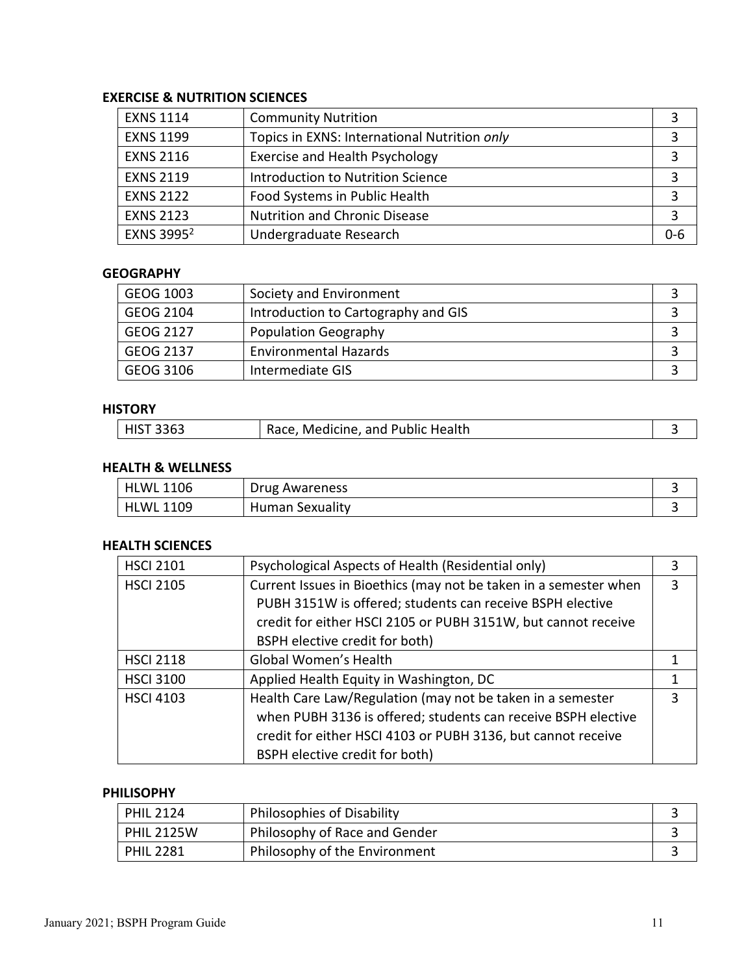# **EXERCISE & NUTRITION SCIENCES**

| <b>EXNS 1114</b>       | <b>Community Nutrition</b>                   |     |
|------------------------|----------------------------------------------|-----|
| <b>EXNS 1199</b>       | Topics in EXNS: International Nutrition only |     |
| <b>EXNS 2116</b>       | Exercise and Health Psychology               |     |
| <b>EXNS 2119</b>       | <b>Introduction to Nutrition Science</b>     |     |
| <b>EXNS 2122</b>       | Food Systems in Public Health                |     |
| <b>EXNS 2123</b>       | <b>Nutrition and Chronic Disease</b>         |     |
| EXNS 3995 <sup>2</sup> | Undergraduate Research                       | 0-6 |

#### **GEOGRAPHY**

| GEOG 1003 | Society and Environment             |  |
|-----------|-------------------------------------|--|
| GEOG 2104 | Introduction to Cartography and GIS |  |
| GEOG 2127 | <b>Population Geography</b>         |  |
| GEOG 2137 | <b>Environmental Hazards</b>        |  |
| GEOG 3106 | Intermediate GIS                    |  |

### **HISTORY**

| HIST 3363 | Race, Medicine, and Public Health |  |
|-----------|-----------------------------------|--|
|           |                                   |  |

# **HEALTH & WELLNESS**

| 1106<br><b>HLWL</b>  | Drug Awareness         |  |
|----------------------|------------------------|--|
| .1109<br><b>HLWL</b> | <b>Human Sexuality</b> |  |

# **HEALTH SCIENCES**

| <b>HSCI 2101</b> | Psychological Aspects of Health (Residential only)               | 3 |
|------------------|------------------------------------------------------------------|---|
| <b>HSCI 2105</b> | Current Issues in Bioethics (may not be taken in a semester when | 3 |
|                  | PUBH 3151W is offered; students can receive BSPH elective        |   |
|                  | credit for either HSCI 2105 or PUBH 3151W, but cannot receive    |   |
|                  | BSPH elective credit for both)                                   |   |
| <b>HSCI 2118</b> | Global Women's Health                                            |   |
| <b>HSCI 3100</b> | Applied Health Equity in Washington, DC                          | 1 |
| <b>HSCI 4103</b> | Health Care Law/Regulation (may not be taken in a semester       | 3 |
|                  | when PUBH 3136 is offered; students can receive BSPH elective    |   |
|                  | credit for either HSCI 4103 or PUBH 3136, but cannot receive     |   |
|                  | BSPH elective credit for both)                                   |   |

#### **PHILISOPHY**

| <b>PHIL 2124</b>  | Philosophies of Disability    |  |
|-------------------|-------------------------------|--|
| <b>PHIL 2125W</b> | Philosophy of Race and Gender |  |
| <b>PHIL 2281</b>  | Philosophy of the Environment |  |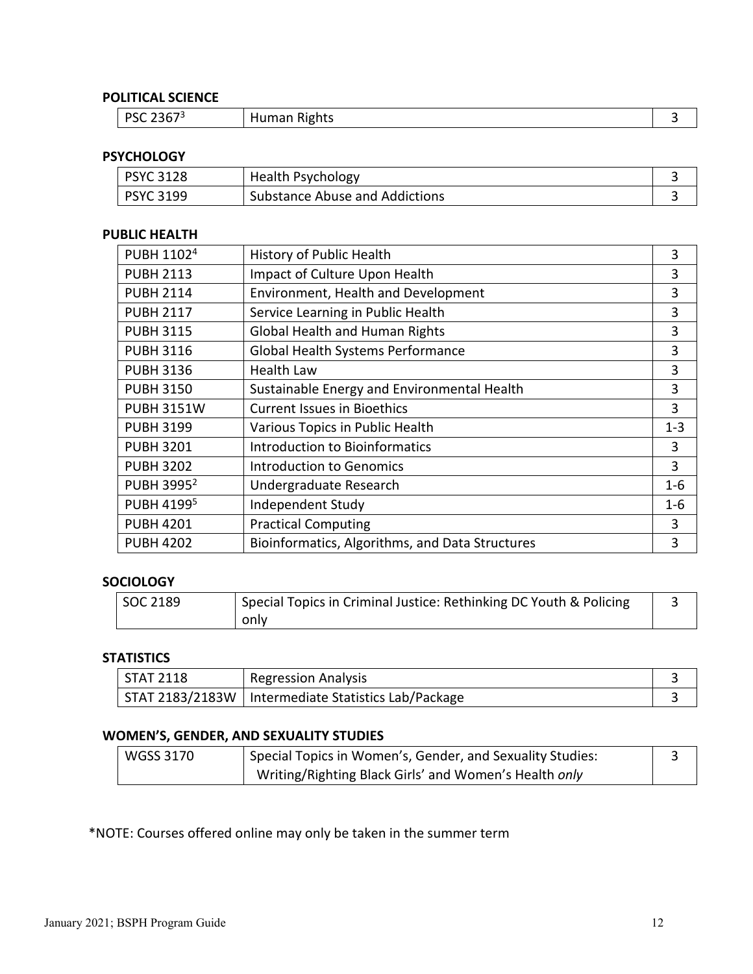# **POLITICAL SCIENCE**

| $\sim$ 2200 $\sim$<br>nce.<br><u>.</u><br>эc<br>2507 | Rights<br>Human! |  |
|------------------------------------------------------|------------------|--|
|------------------------------------------------------|------------------|--|

# **PSYCHOLOGY**

| <b>PSYC 3128</b> | <b>Health Psychology</b>       |  |
|------------------|--------------------------------|--|
| <b>PSYC 3199</b> | Substance Abuse and Addictions |  |

### **PUBLIC HEALTH**

| PUBH 1102 <sup>4</sup> | History of Public Health                        | 3       |
|------------------------|-------------------------------------------------|---------|
| <b>PUBH 2113</b>       | Impact of Culture Upon Health                   | 3       |
| <b>PUBH 2114</b>       | Environment, Health and Development             | 3       |
| <b>PUBH 2117</b>       | Service Learning in Public Health               | 3       |
| <b>PUBH 3115</b>       | Global Health and Human Rights                  | 3       |
| <b>PUBH 3116</b>       | Global Health Systems Performance               | 3       |
| <b>PUBH 3136</b>       | <b>Health Law</b>                               | 3       |
| <b>PUBH 3150</b>       | Sustainable Energy and Environmental Health     | 3       |
| <b>PUBH 3151W</b>      | <b>Current Issues in Bioethics</b>              | 3       |
| <b>PUBH 3199</b>       | Various Topics in Public Health                 | $1 - 3$ |
| <b>PUBH 3201</b>       | <b>Introduction to Bioinformatics</b>           | 3       |
| <b>PUBH 3202</b>       | <b>Introduction to Genomics</b>                 | 3       |
| PUBH 3995 <sup>2</sup> | Undergraduate Research                          | $1 - 6$ |
| PUBH 4199 <sup>5</sup> | Independent Study                               | $1-6$   |
| <b>PUBH 4201</b>       | <b>Practical Computing</b>                      | 3       |
| <b>PUBH 4202</b>       | Bioinformatics, Algorithms, and Data Structures | 3       |

#### **SOCIOLOGY**

| SOC 2189 | Special Topics in Criminal Justice: Rethinking DC Youth & Policing |  |
|----------|--------------------------------------------------------------------|--|
|          | only                                                               |  |

# **STATISTICS**

| STAT 2118 | <b>Regression Analysis</b>                            |  |
|-----------|-------------------------------------------------------|--|
|           | STAT 2183/2183W   Intermediate Statistics Lab/Package |  |

# **WOMEN'S, GENDER, AND SEXUALITY STUDIES**

| <b>WGSS 3170</b> | Special Topics in Women's, Gender, and Sexuality Studies: |  |
|------------------|-----------------------------------------------------------|--|
|                  | Writing/Righting Black Girls' and Women's Health only     |  |

\*NOTE: Courses offered online may only be taken in the summer term